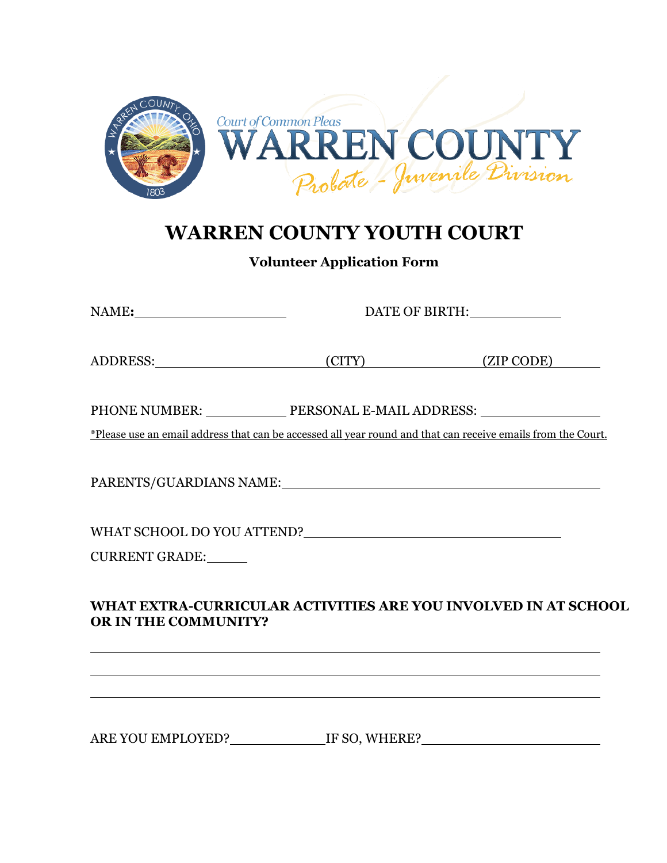

# **WARREN COUNTY YOUTH COURT**

**Volunteer Application Form**

|                                                                                                              | DATE OF BIRTH: |                                                                |  |  |  |
|--------------------------------------------------------------------------------------------------------------|----------------|----------------------------------------------------------------|--|--|--|
|                                                                                                              |                | (CITY) (ZIP CODE)                                              |  |  |  |
| PHONE NUMBER: _______________ PERSONAL E-MAIL ADDRESS: _________________________                             |                |                                                                |  |  |  |
| *Please use an email address that can be accessed all year round and that can receive emails from the Court. |                |                                                                |  |  |  |
| PARENTS/GUARDIANS NAME: NAME:                                                                                |                |                                                                |  |  |  |
|                                                                                                              |                |                                                                |  |  |  |
| CURRENT GRADE:                                                                                               |                |                                                                |  |  |  |
| <b>OR IN THE COMMUNITY?</b>                                                                                  |                | WHAT EXTRA-CURRICULAR ACTIVITIES ARE YOU INVOLVED IN AT SCHOOL |  |  |  |

ARE YOU EMPLOYED? IF SO, WHERE?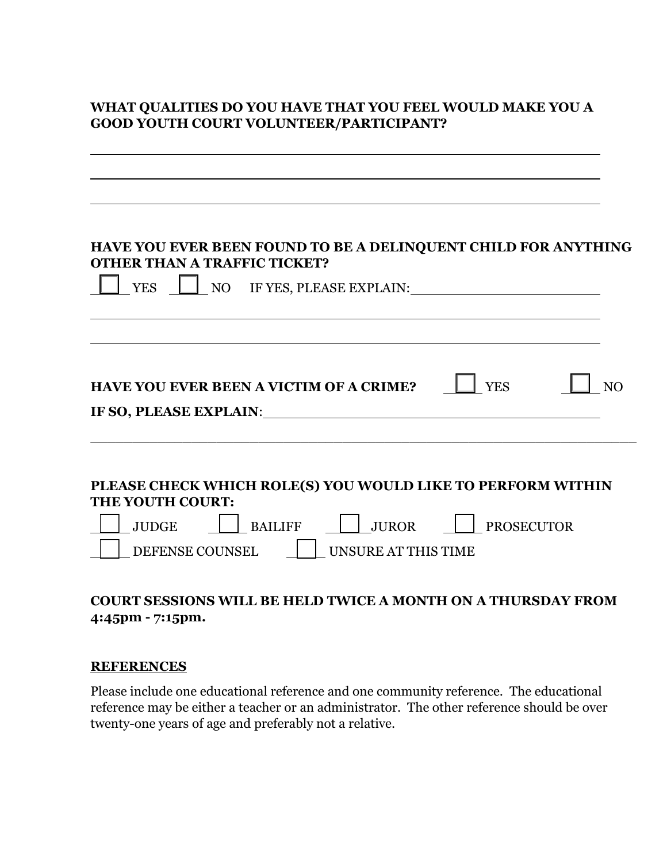## **WHAT QUALITIES DO YOU HAVE THAT YOU FEEL WOULD MAKE YOU A GOOD YOUTH COURT VOLUNTEER/PARTICIPANT?**

| HAVE YOU EVER BEEN FOUND TO BE A DELINQUENT CHILD FOR ANYTHING<br><b>OTHER THAN A TRAFFIC TICKET?</b><br>NO IF YES, PLEASE EXPLAIN:<br><b>YES</b>                         |
|---------------------------------------------------------------------------------------------------------------------------------------------------------------------------|
| <b>HAVE YOU EVER BEEN A VICTIM OF A CRIME?</b><br><b>YES</b><br>IF SO, PLEASE EXPLAIN: THE SO, PLEASE EXPLAIN:                                                            |
| PLEASE CHECK WHICH ROLE(S) YOU WOULD LIKE TO PERFORM WITHIN<br><b>THE YOUTH COURT:</b><br>BAILIFF   JUROR   PROSECUTOR<br>JUDGE<br>DEFENSE COUNSEL<br>UNSURE AT THIS TIME |

## **COURT SESSIONS WILL BE HELD TWICE A MONTH ON A THURSDAY FROM 4:45pm - 7:15pm.**

#### **REFERENCES**

Please include one educational reference and one community reference. The educational reference may be either a teacher or an administrator. The other reference should be over twenty-one years of age and preferably not a relative.